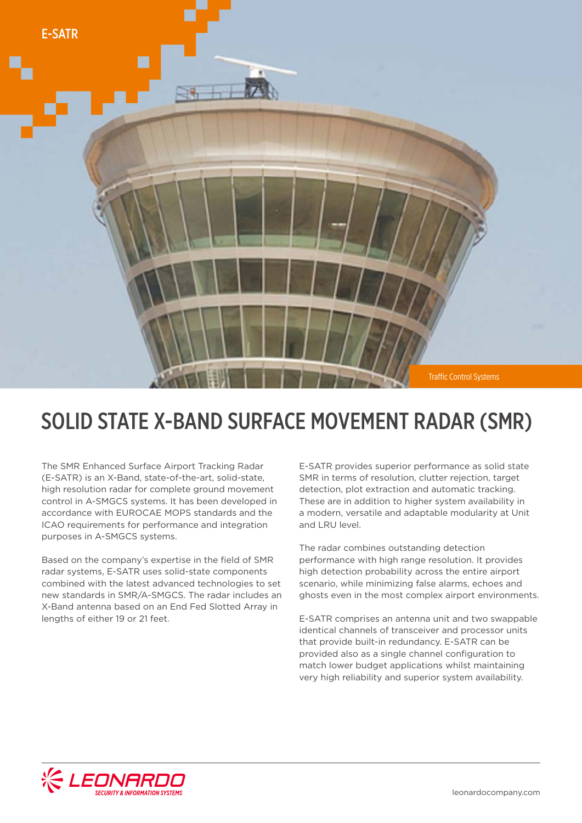

## SOLID STATE X-BAND SURFACE MOVEMENT RADAR (SMR)

The SMR Enhanced Surface Airport Tracking Radar (E-SATR) is an X-Band, state-of-the-art, solid-state, high resolution radar for complete ground movement control in A-SMGCS systems. It has been developed in accordance with EUROCAE MOPS standards and the ICAO requirements for performance and integration purposes in A-SMGCS systems.

Based on the company's expertise in the field of SMR radar systems, E-SATR uses solid-state components combined with the latest advanced technologies to set new standards in SMR/A-SMGCS. The radar includes an X-Band antenna based on an End Fed Slotted Array in lengths of either 19 or 21 feet.

E-SATR provides superior performance as solid state SMR in terms of resolution, clutter rejection, target detection, plot extraction and automatic tracking. These are in addition to higher system availability in a modern, versatile and adaptable modularity at Unit and LRU level.

The radar combines outstanding detection performance with high range resolution. It provides high detection probability across the entire airport scenario, while minimizing false alarms, echoes and ghosts even in the most complex airport environments.

E-SATR comprises an antenna unit and two swappable identical channels of transceiver and processor units that provide built-in redundancy. E-SATR can be provided also as a single channel configuration to match lower budget applications whilst maintaining very high reliability and superior system availability.